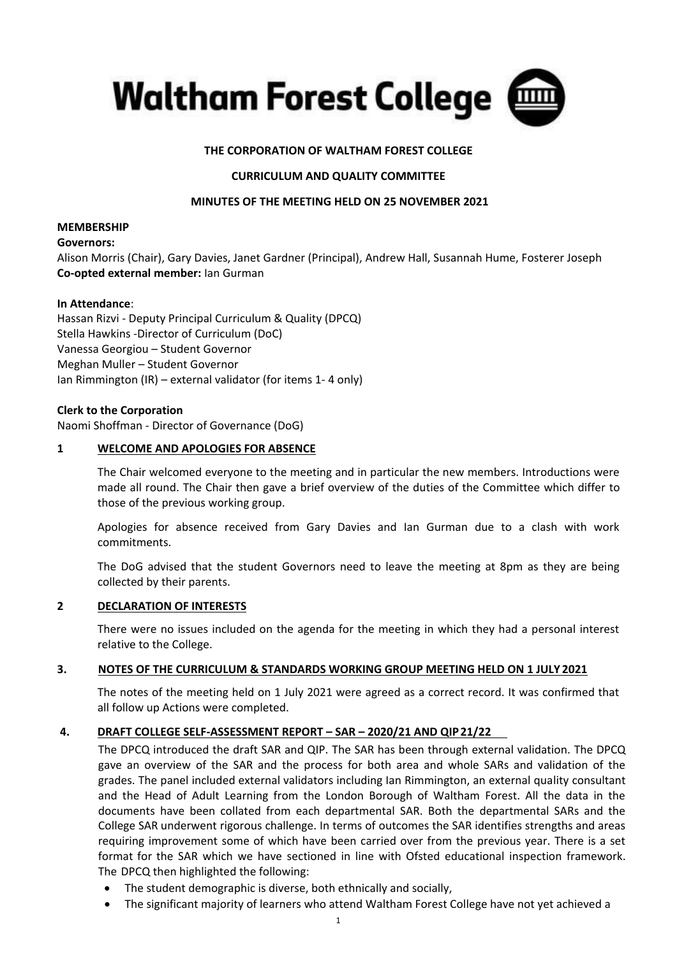

# **THE CORPORATION OF WALTHAM FOREST COLLEGE**

## **CURRICULUM AND QUALITY COMMITTEE**

### **MINUTES OF THE MEETING HELD ON 25 NOVEMBER 2021**

#### **MEMBERSHIP**

#### **Governors:**

Alison Morris (Chair), Gary Davies, Janet Gardner (Principal), Andrew Hall, Susannah Hume, Fosterer Joseph **Co-opted external member:** Ian Gurman

#### **In Attendance**:

Hassan Rizvi - Deputy Principal Curriculum & Quality (DPCQ) Stella Hawkins -Director of Curriculum (DoC) Vanessa Georgiou – Student Governor Meghan Muller – Student Governor Ian Rimmington (IR) – external validator (for items 1- 4 only)

#### **Clerk to the Corporation**

Naomi Shoffman - Director of Governance (DoG)

#### **1 WELCOME AND APOLOGIES FOR ABSENCE**

The Chair welcomed everyone to the meeting and in particular the new members. Introductions were made all round. The Chair then gave a brief overview of the duties of the Committee which differ to those of the previous working group.

Apologies for absence received from Gary Davies and Ian Gurman due to a clash with work commitments.

The DoG advised that the student Governors need to leave the meeting at 8pm as they are being collected by their parents.

## **2 DECLARATION OF INTERESTS**

There were no issues included on the agenda for the meeting in which they had a personal interest relative to the College.

#### **3. NOTES OF THE CURRICULUM & STANDARDS WORKING GROUP MEETING HELD ON 1 JULY 2021**

The notes of the meeting held on 1 July 2021 were agreed as a correct record. It was confirmed that all follow up Actions were completed.

## **4. DRAFT COLLEGE SELF-ASSESSMENT REPORT – SAR – 2020/21 AND QIP21/22**

The DPCQ introduced the draft SAR and QIP. The SAR has been through external validation. The DPCQ gave an overview of the SAR and the process for both area and whole SARs and validation of the grades. The panel included external validators including Ian Rimmington, an external quality consultant and the Head of Adult Learning from the London Borough of Waltham Forest. All the data in the documents have been collated from each departmental SAR. Both the departmental SARs and the College SAR underwent rigorous challenge. In terms of outcomes the SAR identifies strengths and areas requiring improvement some of which have been carried over from the previous year. There is a set format for the SAR which we have sectioned in line with Ofsted educational inspection framework. The DPCQ then highlighted the following:

- The student demographic is diverse, both ethnically and socially,
- The significant majority of learners who attend Waltham Forest College have not yet achieved a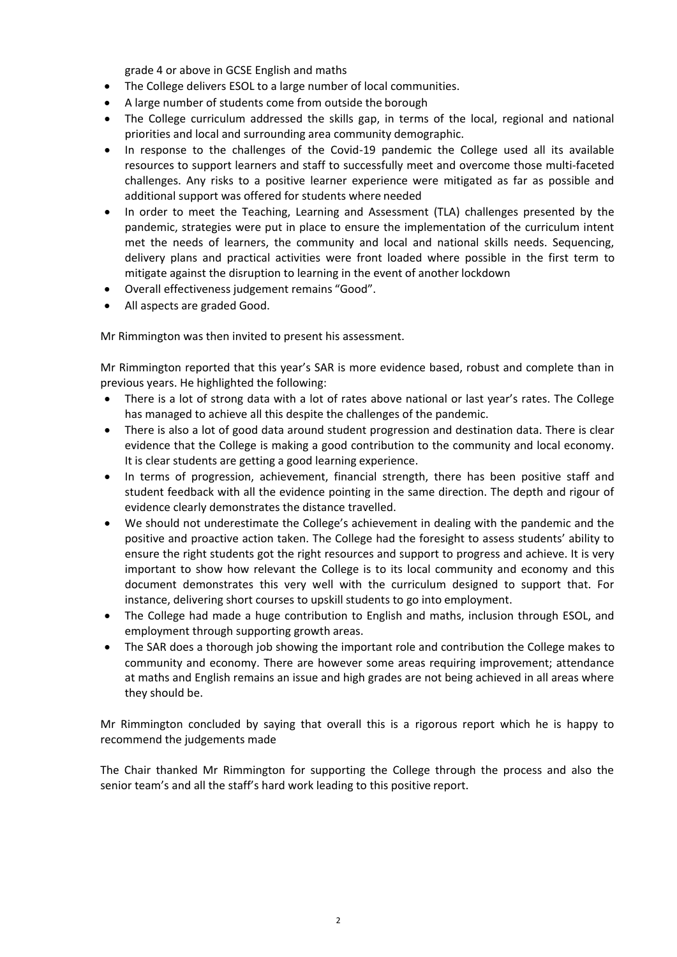grade 4 or above in GCSE English and maths

- The College delivers ESOL to a large number of local communities.
- A large number of students come from outside the borough
- The College curriculum addressed the skills gap, in terms of the local, regional and national priorities and local and surrounding area community demographic.
- In response to the challenges of the Covid-19 pandemic the College used all its available resources to support learners and staff to successfully meet and overcome those multi-faceted challenges. Any risks to a positive learner experience were mitigated as far as possible and additional support was offered for students where needed
- In order to meet the Teaching, Learning and Assessment (TLA) challenges presented by the pandemic, strategies were put in place to ensure the implementation of the curriculum intent met the needs of learners, the community and local and national skills needs. Sequencing, delivery plans and practical activities were front loaded where possible in the first term to mitigate against the disruption to learning in the event of another lockdown
- Overall effectiveness judgement remains "Good".
- All aspects are graded Good.

Mr Rimmington was then invited to present his assessment.

Mr Rimmington reported that this year's SAR is more evidence based, robust and complete than in previous years. He highlighted the following:

- There is a lot of strong data with a lot of rates above national or last year's rates. The College has managed to achieve all this despite the challenges of the pandemic.
- There is also a lot of good data around student progression and destination data. There is clear evidence that the College is making a good contribution to the community and local economy. It is clear students are getting a good learning experience.
- In terms of progression, achievement, financial strength, there has been positive staff and student feedback with all the evidence pointing in the same direction. The depth and rigour of evidence clearly demonstrates the distance travelled.
- We should not underestimate the College's achievement in dealing with the pandemic and the positive and proactive action taken. The College had the foresight to assess students' ability to ensure the right students got the right resources and support to progress and achieve. It is very important to show how relevant the College is to its local community and economy and this document demonstrates this very well with the curriculum designed to support that. For instance, delivering short courses to upskill students to go into employment.
- The College had made a huge contribution to English and maths, inclusion through ESOL, and employment through supporting growth areas.
- The SAR does a thorough job showing the important role and contribution the College makes to community and economy. There are however some areas requiring improvement; attendance at maths and English remains an issue and high grades are not being achieved in all areas where they should be.

Mr Rimmington concluded by saying that overall this is a rigorous report which he is happy to recommend the judgements made

The Chair thanked Mr Rimmington for supporting the College through the process and also the senior team's and all the staff's hard work leading to this positive report.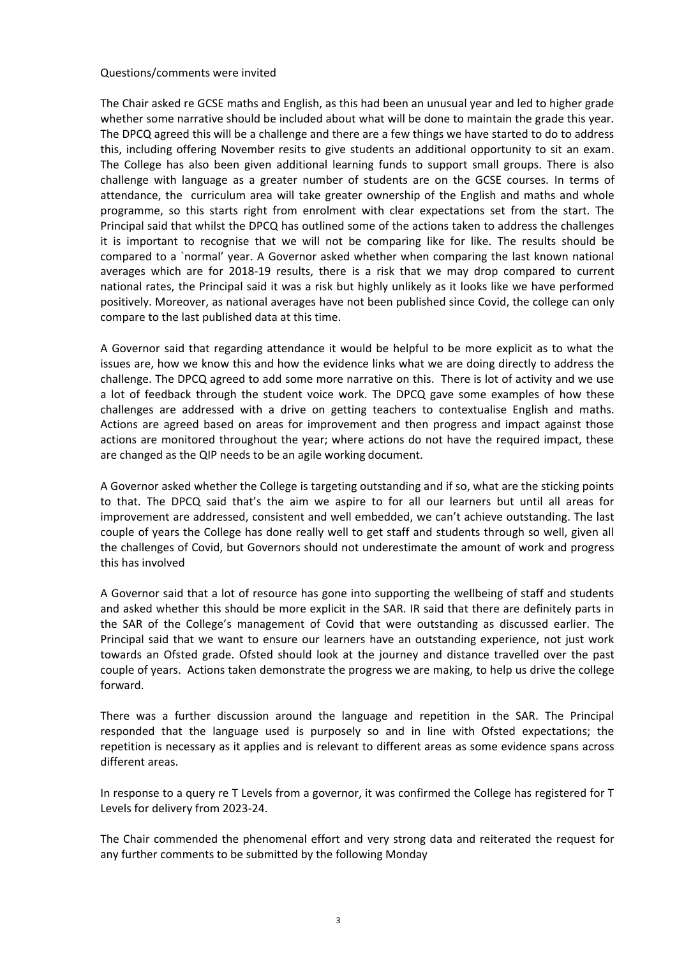### Questions/comments were invited

The Chair asked re GCSE maths and English, as this had been an unusual year and led to higher grade whether some narrative should be included about what will be done to maintain the grade this year. The DPCQ agreed this will be a challenge and there are a few things we have started to do to address this, including offering November resits to give students an additional opportunity to sit an exam. The College has also been given additional learning funds to support small groups. There is also challenge with language as a greater number of students are on the GCSE courses. In terms of attendance, the curriculum area will take greater ownership of the English and maths and whole programme, so this starts right from enrolment with clear expectations set from the start. The Principal said that whilst the DPCQ has outlined some of the actions taken to address the challenges it is important to recognise that we will not be comparing like for like. The results should be compared to a `normal' year. A Governor asked whether when comparing the last known national averages which are for 2018-19 results, there is a risk that we may drop compared to current national rates, the Principal said it was a risk but highly unlikely as it looks like we have performed positively. Moreover, as national averages have not been published since Covid, the college can only compare to the last published data at this time.

A Governor said that regarding attendance it would be helpful to be more explicit as to what the issues are, how we know this and how the evidence links what we are doing directly to address the challenge. The DPCQ agreed to add some more narrative on this. There is lot of activity and we use a lot of feedback through the student voice work. The DPCQ gave some examples of how these challenges are addressed with a drive on getting teachers to contextualise English and maths. Actions are agreed based on areas for improvement and then progress and impact against those actions are monitored throughout the year; where actions do not have the required impact, these are changed as the QIP needs to be an agile working document.

A Governor asked whether the College is targeting outstanding and if so, what are the sticking points to that. The DPCQ said that's the aim we aspire to for all our learners but until all areas for improvement are addressed, consistent and well embedded, we can't achieve outstanding. The last couple of years the College has done really well to get staff and students through so well, given all the challenges of Covid, but Governors should not underestimate the amount of work and progress this has involved

A Governor said that a lot of resource has gone into supporting the wellbeing of staff and students and asked whether this should be more explicit in the SAR. IR said that there are definitely parts in the SAR of the College's management of Covid that were outstanding as discussed earlier. The Principal said that we want to ensure our learners have an outstanding experience, not just work towards an Ofsted grade. Ofsted should look at the journey and distance travelled over the past couple of years. Actions taken demonstrate the progress we are making, to help us drive the college forward.

There was a further discussion around the language and repetition in the SAR. The Principal responded that the language used is purposely so and in line with Ofsted expectations; the repetition is necessary as it applies and is relevant to different areas as some evidence spans across different areas.

In response to a query re T Levels from a governor, it was confirmed the College has registered for T Levels for delivery from 2023-24.

The Chair commended the phenomenal effort and very strong data and reiterated the request for any further comments to be submitted by the following Monday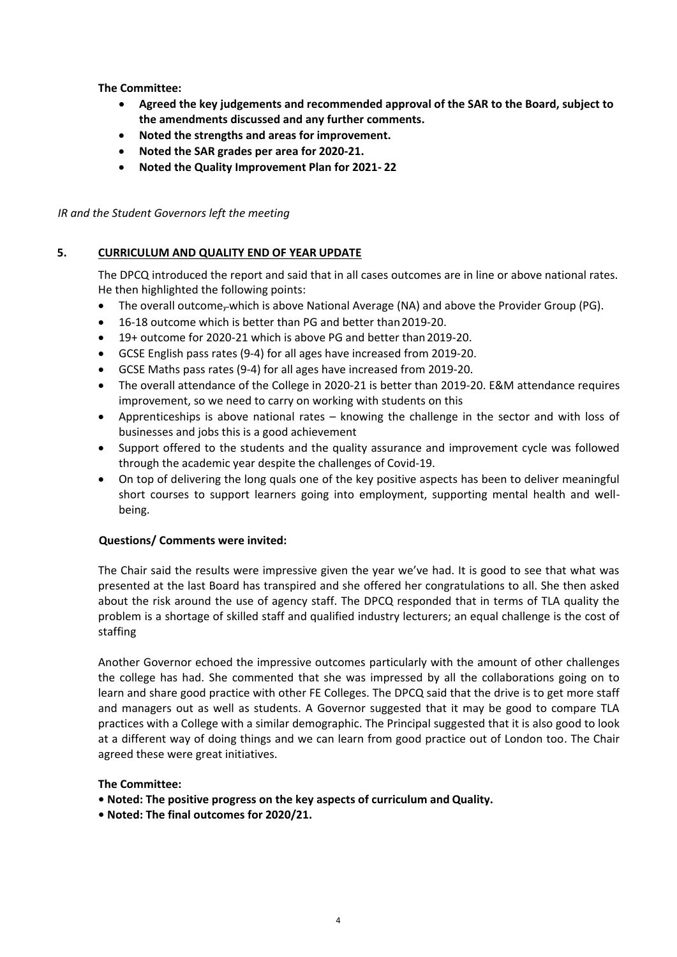**The Committee:**

- **Agreed the key judgements and recommended approval of the SAR to the Board, subject to the amendments discussed and any further comments.**
- **Noted the strengths and areas for improvement.**
- **Noted the SAR grades per area for 2020-21.**
- **Noted the Quality Improvement Plan for 2021- 22**

# *IR and the Student Governors left the meeting*

# **5. CURRICULUM AND QUALITY END OF YEAR UPDATE**

The DPCQ introduced the report and said that in all cases outcomes are in line or above national rates. He then highlighted the following points:

- The overall outcome<sub>r</sub>-which is above National Average (NA) and above the Provider Group (PG).
- 16-18 outcome which is better than PG and better than2019-20.
- 19+ outcome for 2020-21 which is above PG and better than2019-20.
- GCSE English pass rates (9-4) for all ages have increased from 2019-20.
- GCSE Maths pass rates (9-4) for all ages have increased from 2019-20.
- The overall attendance of the College in 2020-21 is better than 2019-20. E&M attendance requires improvement, so we need to carry on working with students on this
- Apprenticeships is above national rates knowing the challenge in the sector and with loss of businesses and jobs this is a good achievement
- Support offered to the students and the quality assurance and improvement cycle was followed through the academic year despite the challenges of Covid-19.
- On top of delivering the long quals one of the key positive aspects has been to deliver meaningful short courses to support learners going into employment, supporting mental health and wellbeing.

## **Questions/ Comments were invited:**

The Chair said the results were impressive given the year we've had. It is good to see that what was presented at the last Board has transpired and she offered her congratulations to all. She then asked about the risk around the use of agency staff. The DPCQ responded that in terms of TLA quality the problem is a shortage of skilled staff and qualified industry lecturers; an equal challenge is the cost of staffing

Another Governor echoed the impressive outcomes particularly with the amount of other challenges the college has had. She commented that she was impressed by all the collaborations going on to learn and share good practice with other FE Colleges. The DPCQ said that the drive is to get more staff and managers out as well as students. A Governor suggested that it may be good to compare TLA practices with a College with a similar demographic. The Principal suggested that it is also good to look at a different way of doing things and we can learn from good practice out of London too. The Chair agreed these were great initiatives.

## **The Committee:**

- **• Noted: The positive progress on the key aspects of curriculum and Quality.**
- **• Noted: The final outcomes for 2020/21.**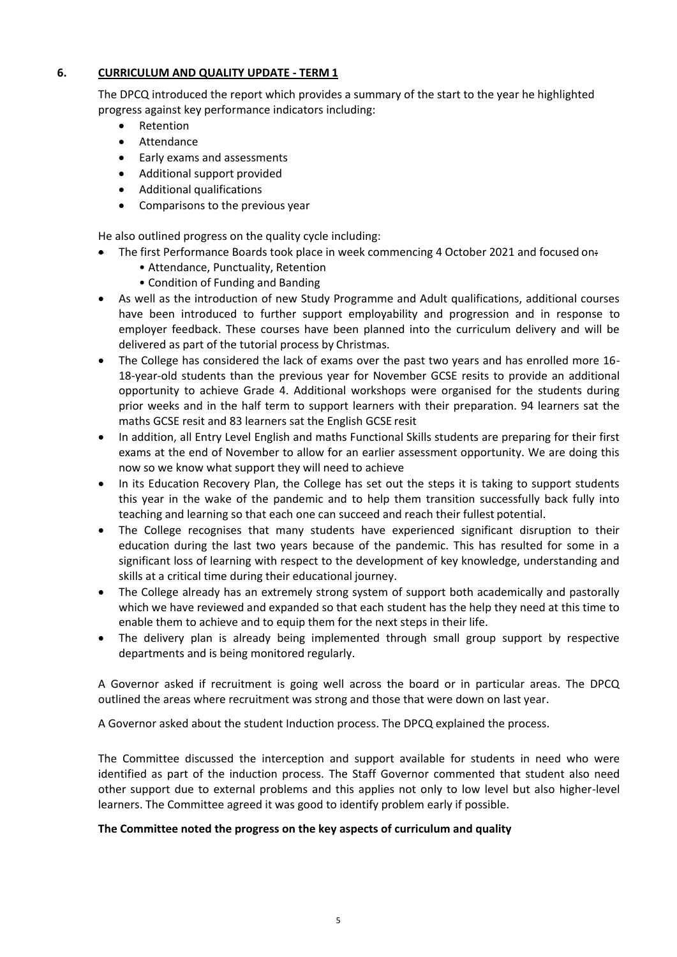# **6. CURRICULUM AND QUALITY UPDATE - TERM 1**

The DPCQ introduced the report which provides a summary of the start to the year he highlighted progress against key performance indicators including:

- Retention
- Attendance
- Early exams and assessments
- Additional support provided
- Additional qualifications
- Comparisons to the previous year

He also outlined progress on the quality cycle including:

- The first Performance Boards took place in week commencing 4 October 2021 and focused on:
	- Attendance, Punctuality, Retention
	- Condition of Funding and Banding
- As well as the introduction of new Study Programme and Adult qualifications, additional courses have been introduced to further support employability and progression and in response to employer feedback. These courses have been planned into the curriculum delivery and will be delivered as part of the tutorial process by Christmas.
- The College has considered the lack of exams over the past two years and has enrolled more 16- 18-year-old students than the previous year for November GCSE resits to provide an additional opportunity to achieve Grade 4. Additional workshops were organised for the students during prior weeks and in the half term to support learners with their preparation. 94 learners sat the maths GCSE resit and 83 learners sat the English GCSE resit
- In addition, all Entry Level English and maths Functional Skills students are preparing for their first exams at the end of November to allow for an earlier assessment opportunity. We are doing this now so we know what support they will need to achieve
- In its Education Recovery Plan, the College has set out the steps it is taking to support students this year in the wake of the pandemic and to help them transition successfully back fully into teaching and learning so that each one can succeed and reach their fullest potential.
- The College recognises that many students have experienced significant disruption to their education during the last two years because of the pandemic. This has resulted for some in a significant loss of learning with respect to the development of key knowledge, understanding and skills at a critical time during their educational journey.
- The College already has an extremely strong system of support both academically and pastorally which we have reviewed and expanded so that each student has the help they need at this time to enable them to achieve and to equip them for the next steps in their life.
- The delivery plan is already being implemented through small group support by respective departments and is being monitored regularly.

A Governor asked if recruitment is going well across the board or in particular areas. The DPCQ outlined the areas where recruitment was strong and those that were down on last year.

A Governor asked about the student Induction process. The DPCQ explained the process.

The Committee discussed the interception and support available for students in need who were identified as part of the induction process. The Staff Governor commented that student also need other support due to external problems and this applies not only to low level but also higher-level learners. The Committee agreed it was good to identify problem early if possible.

## **The Committee noted the progress on the key aspects of curriculum and quality**